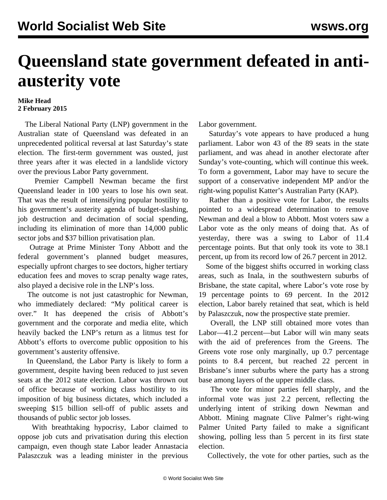## **Queensland state government defeated in antiausterity vote**

## **Mike Head 2 February 2015**

 The Liberal National Party (LNP) government in the Australian state of Queensland was defeated in an unprecedented political reversal at last Saturday's state election. The first-term government was ousted, just three years after it was elected in a landslide victory over the previous Labor Party government.

 Premier Campbell Newman became the first Queensland leader in 100 years to lose his own seat. That was the result of intensifying popular hostility to his government's austerity agenda of budget-slashing, job destruction and decimation of social spending, including its elimination of more than 14,000 public sector jobs and \$37 billion privatisation plan.

 Outrage at Prime Minister Tony Abbott and the federal government's planned budget measures, especially upfront charges to see doctors, higher tertiary education fees and moves to scrap penalty wage rates, also played a decisive role in the LNP's loss.

 The outcome is not just catastrophic for Newman, who immediately declared: "My political career is over." It has deepened the crisis of [Abbott's](/en/articles/2015/02/02/aust-f02.html) [government](/en/articles/2015/02/02/aust-f02.html) and the corporate and media elite, which heavily backed the LNP's return as a litmus test for Abbott's efforts to overcome public opposition to his government's austerity offensive.

 In Queensland, the Labor Party is likely to form a government, despite having been reduced to just seven seats at the 2012 state election. Labor was thrown out of office because of working class hostility to its imposition of big business dictates, which included a sweeping \$15 billion sell-off of public assets and thousands of public sector job losses.

 With breathtaking hypocrisy, Labor claimed to oppose job cuts and privatisation during this election campaign, even though state Labor leader Annastacia Palaszczuk was a leading minister in the previous

Labor government.

 Saturday's vote appears to have produced a hung parliament. Labor won 43 of the 89 seats in the state parliament, and was ahead in another electorate after Sunday's vote-counting, which will continue this week. To form a government, Labor may have to secure the support of a conservative independent MP and/or the right-wing populist Katter's Australian Party (KAP).

 Rather than a positive vote for Labor, the results pointed to a widespread determination to remove Newman and deal a blow to Abbott. Most voters saw a Labor vote as the only means of doing that. As of yesterday, there was a swing to Labor of 11.4 percentage points. But that only took its vote to 38.1 percent, up from its record low of 26.7 percent in 2012.

 Some of the biggest shifts occurred in working class areas, such as Inala, in the southwestern suburbs of Brisbane, the state capital, where Labor's vote rose by 19 percentage points to 69 percent. In the 2012 election, Labor barely retained that seat, which is held by Palaszczuk, now the prospective state premier.

 Overall, the LNP still obtained more votes than Labor—41.2 percent—but Labor will win many seats with the aid of preferences from the Greens. The Greens vote rose only marginally, up 0.7 percentage points to 8.4 percent, but reached 22 percent in Brisbane's inner suburbs where the party has a strong base among layers of the upper middle class.

 The vote for minor parties fell sharply, and the informal vote was just 2.2 percent, reflecting the underlying intent of striking down Newman and Abbott. Mining magnate Clive Palmer's right-wing Palmer United Party failed to make a significant showing, polling less than 5 percent in its first state election.

Collectively, the vote for other parties, such as the